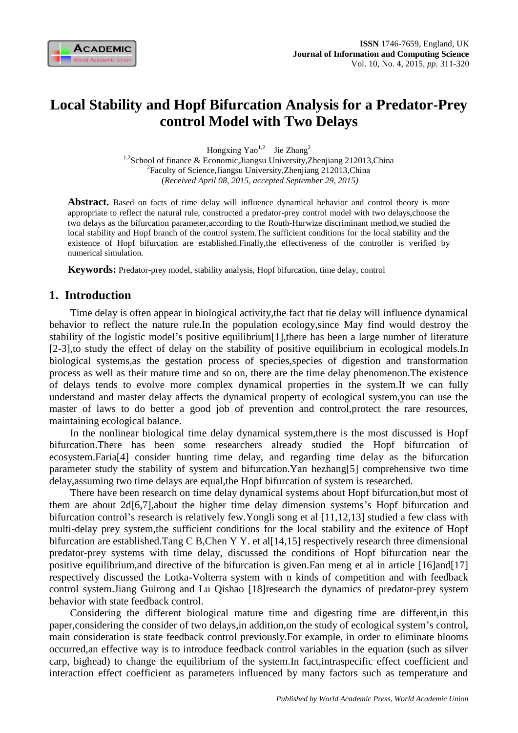

# **Local Stability and Hopf Bifurcation Analysis for a Predator-Prey control Model with Two Delays**

Hongxing  $Yao^{1,2}$  Jie Zhang<sup>2</sup>

<sup>1,2</sup>School of finance & Economic, Jiangsu University, Zhenjiang 212013, China <sup>2</sup> Faculty of Science, Jiangsu University, Zhenjiang 212013, China (*Received April 08, 2015, accepted September 29, 2015)*

**Abstract.** Based on facts of time delay will influence dynamical behavior and control theory is more appropriate to reflect the natural rule, constructed a predator-prey control model with two delays,choose the two delays as the bifurcation parameter,according to the Routh-Hurwize discriminant method,we studied the local stability and Hopf branch of the control system.The sufficient conditions for the local stability and the existence of Hopf bifurcation are established.Finally,the effectiveness of the controller is verified by numerical simulation.

**Keywords:** Predator-prey model, stability analysis, Hopf bifurcation, time delay, control

### **1. Introduction**

Time delay is often appear in biological activity,the fact that tie delay will influence dynamical behavior to reflect the nature rule.In the population ecology,since May find would destroy the stability of the logistic model's positive equilibrium[1],there has been a large number of literature [2-3],to study the effect of delay on the stability of positive equilibrium in ecological models.In biological systems,as the gestation process of species,species of digestion and transformation process as well as their mature time and so on, there are the time delay phenomenon.The existence of delays tends to evolve more complex dynamical properties in the system.If we can fully understand and master delay affects the dynamical property of ecological system,you can use the master of laws to do better a good job of prevention and control,protect the rare resources, maintaining ecological balance.

In the nonlinear biological time delay dynamical system,there is the most discussed is Hopf bifurcation.There has been some researchers already studied the Hopf bifurcation of ecosystem.Faria[4] consider hunting time delay, and regarding time delay as the bifurcation parameter study the stability of system and bifurcation.Yan hezhang[5] comprehensive two time delay,assuming two time delays are equal,the Hopf bifurcation of system is researched.

There have been research on time delay dynamical systems about Hopf bifurcation,but most of them are about 2d[6,7],about the higher time delay dimension systems's Hopf bifurcation and bifurcation control's research is relatively few.Yongli song et al [11,12,13] studied a few class with multi-delay prey system,the sufficient conditions for the local stability and the exitence of Hopf bifurcation are established.Tang C B,Chen Y Y. et al[14,15] respectively research three dimensional predator-prey systems with time delay, discussed the conditions of Hopf bifurcation near the positive equilibrium,and directive of the bifurcation is given.Fan meng et al in article [16]and[17] respectively discussed the Lotka-Volterra system with n kinds of competition and with feedback control system.Jiang Guirong and Lu Qishao [18]research the dynamics of predator-prey system behavior with state feedback control.

Considering the different biological mature time and digesting time are different,in this paper,considering the consider of two delays,in addition,on the study of ecological system's control, main consideration is state feedback control previously.For example, in order to eliminate blooms occurred,an effective way is to introduce feedback control variables in the equation (such as silver carp, bighead) to change the equilibrium of the system.In fact,intraspecific effect coefficient and interaction effect coefficient as parameters influenced by many factors such as temperature and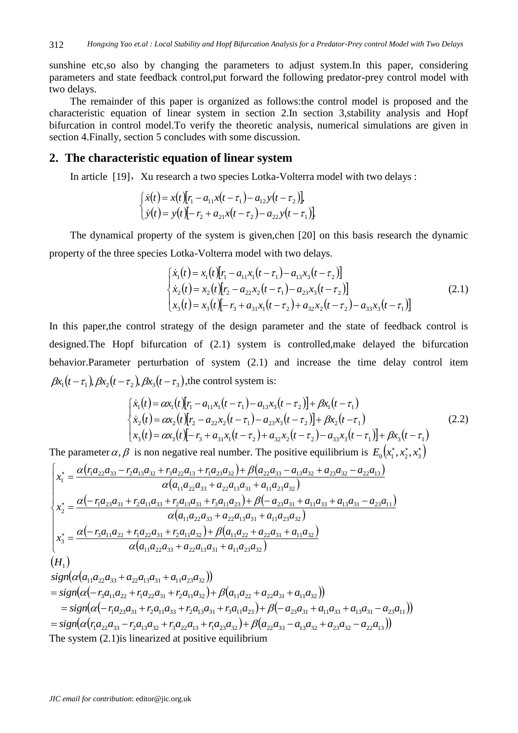sunshine etc,so also by changing the parameters to adjust system.In this paper, considering parameters and state feedback control,put forward the following predator-prey control model with two delays.

The remainder of this paper is organized as follows:the control model is proposed and the characteristic equation of linear system in section 2.In section 3,stability analysis and Hopf bifurcation in control model.To verify the theoretic analysis, numerical simulations are given in section 4.Finally, section 5 concludes with some discussion.

### **2. The characteristic equation of linear system**

In article [19], Xu research a two species Lotka-Volterra model with two delays :

$$
\begin{cases}\n\dot{x}(t) = x(t)[r_1 - a_{11}x(t - \tau_1) - a_{12}y(t - \tau_2)], \\
\dot{y}(t) = y(t)[-r_2 + a_{21}x(t - \tau_2) - a_{22}y(t - \tau_1)].\n\end{cases}
$$

The dynamical property of the system is given,chen [20] on this basis research the dynamic property of the three species Lotka-Volterra model with two delays.

$$
\begin{cases}\n\dot{x}_1(t) = x_1(t)[r_1 - a_{11}x_1(t - \tau_1) - a_{13}x_3(t - \tau_2)] \\
\dot{x}_2(t) = x_2(t)[r_2 - a_{22}x_2(t - \tau_1) - a_{23}x_3(t - \tau_2)] \\
x_3(t) = x_3(t)[-r_3 + a_{31}x_1(t - \tau_2) + a_{32}x_2(t - \tau_2) - a_{33}x_3(t - \tau_1)]\n\end{cases} (2.1)
$$

In this paper,the control strategy of the design parameter and the state of feedback control is designed.The Hopf bifurcation of (2.1) system is controlled,make delayed the bifurcation behavior.Parameter perturbation of system (2.1) and increase the time delay control item  $\beta x_1(t-\tau_1), \beta x_2(t-\tau_2), \beta x_3(t-\tau_3)$ , the control system is:

$$
\begin{cases}\n\dot{x}_1(t) = \alpha x_1(t)[r_1 - a_{11}x_1(t - \tau_1) - a_{13}x_3(t - \tau_2)] + \beta x_1(t - \tau_1) \\
\dot{x}_2(t) = \alpha x_2(t)[r_2 - a_{22}x_2(t - \tau_1) - a_{23}x_3(t - \tau_2)] + \beta x_2(t - \tau_1) \\
x_3(t) = \alpha x_3(t)[-r_3 + a_{31}x_1(t - \tau_2) + a_{32}x_2(t - \tau_2) - a_{33}x_3(t - \tau_1)] + \beta x_3(t - \tau_1)\n\end{cases}
$$
\n(2.2)

The parameter  $\alpha$ ,  $\beta$  is non negative real number. The positive equilibrium is  $E_0(x_1^*, x_2^*, x_3^*)$ 

$$
\begin{cases}\nx_1^* = \frac{\alpha (r_1 a_{22} a_{33} - r_2 a_{13} a_{32} + r_3 a_{22} a_{13} + r_1 a_{23} a_{32}) + \beta (a_{22} a_{33} - a_{13} a_{32} + a_{23} a_{32} - a_{22} a_{13})}{\alpha (a_{11} a_{22} a_{33} + a_{22} a_{13} a_{31} + a_{11} a_{23} a_{32})} \\
x_2^* = \frac{\alpha (-r_1 a_{23} a_{31} + r_2 a_{11} a_{33} + r_2 a_{13} a_{31} + r_3 a_{11} a_{23}) + \beta (-a_{23} a_{31} + a_{11} a_{33} + a_{13} a_{31} - a_{23} a_{11})}{\alpha (a_{11} a_{22} a_{33} + a_{22} a_{13} a_{31} + a_{11} a_{23} a_{32})} \\
x_3^* = \frac{\alpha (-r_3 a_{11} a_{22} + r_1 a_{22} a_{31} + r_2 a_{11} a_{32}) + \beta (a_{11} a_{22} + a_{22} a_{31} + a_{11} a_{32})}{\alpha (a_{11} a_{22} a_{33} + a_{22} a_{13} a_{31} + a_{11} a_{23} a_{32})} \\
(H_1)\n\end{cases}
$$

$$
sign(\alpha(a_{11}a_{22}a_{33} + a_{22}a_{13}a_{31} + a_{11}a_{23}a_{32}))
$$
  
= sign( $\alpha(-r_3a_{11}a_{22} + r_1a_{22}a_{31} + r_2a_{11}a_{32}) + \beta(a_{11}a_{22} + a_{22}a_{31} + a_{11}a_{32}))$   
= sign( $\alpha(-r_1a_{23}a_{31} + r_2a_{11}a_{33} + r_2a_{13}a_{31} + r_3a_{11}a_{23}) + \beta(-a_{23}a_{31} + a_{11}a_{33} + a_{13}a_{31} - a_{23}a_{11}))$   
= sign( $\alpha(r_1a_{22}a_{33} - r_2a_{13}a_{32} + r_3a_{22}a_{13} + r_1a_{23}a_{32}) + \beta(a_{22}a_{33} - a_{13}a_{32} + a_{23}a_{32} - a_{22}a_{13}))$   
The system (2.1) is linearized at positive equilibrium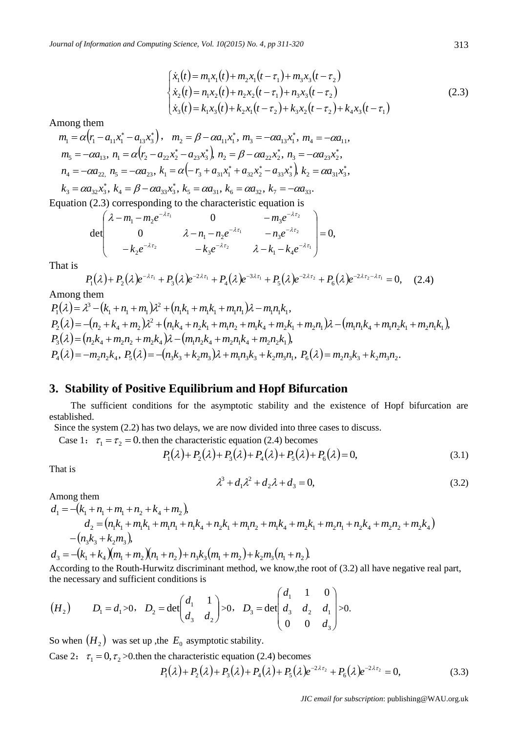$$
\begin{cases}\n\dot{x}_1(t) = m_1 x_1(t) + m_2 x_1(t - \tau_1) + m_3 x_3(t - \tau_2) \\
\dot{x}_2(t) = n_1 x_2(t) + n_2 x_2(t - \tau_1) + n_3 x_3(t - \tau_2) \\
\dot{x}_3(t) = k_1 x_3(t) + k_2 x_1(t - \tau_2) + k_3 x_2(t - \tau_2) + k_4 x_3(t - \tau_1)\n\end{cases} (2.3)
$$

Among them

$$
m_1 = \alpha (r_1 - a_{11}x_1^* - a_{13}x_3^*), \quad m_2 = \beta - \alpha a_{11}x_1^*, \quad m_3 = -\alpha a_{13}x_1^*, \quad m_4 = -\alpha a_{11},
$$
  
\n
$$
m_5 = -\alpha a_{13}, \quad n_1 = \alpha (r_2 - a_{22}x_2^* - a_{23}x_3^*) \quad n_2 = \beta - \alpha a_{22}x_2^*, \quad n_3 = -\alpha a_{23}x_2^*,
$$
  
\n
$$
n_4 = -\alpha a_{22}, \quad n_5 = -\alpha a_{23}, \quad k_1 = \alpha (-r_3 + a_{31}x_1^* + a_{32}x_2^* - a_{33}x_3^*) \quad k_2 = \alpha a_{31}x_3^*,
$$
  
\n
$$
k_3 = \alpha a_{32}x_3^*, \quad k_4 = \beta - \alpha a_{33}x_3^*, \quad k_5 = \alpha a_{31}, \quad k_6 = \alpha a_{32}, \quad k_7 = -\alpha a_{33}.
$$

 $k_3 = \alpha a_{32} x_3^*$ , Equation (2.3) corresponding to the characteristic equation is<br>  $(\lambda - m_1 - m_2 e^{-\lambda \tau_1})$  0  $-m_2 e^{-\lambda \tau_2}$ 

$$
\det\begin{pmatrix} \lambda - m_1 - m_2 e^{-\lambda \tau_1} & 0 & -m_3 e^{-\lambda \tau_2} \\ 0 & \lambda - n_1 - n_2 e^{-\lambda \tau_1} & -n_3 e^{-\lambda \tau_2} \\ -k_2 e^{-\lambda \tau_2} & -k_3 e^{-\lambda \tau_2} & \lambda - k_1 - k_4 e^{-\lambda \tau_1} \end{pmatrix} = 0,
$$

That is

$$
P_1(\lambda) + P_2(\lambda)e^{-\lambda \tau_1} + P_3(\lambda)e^{-2\lambda \tau_1} + P_4(\lambda)e^{-3\lambda \tau_1} + P_5(\lambda)e^{-2\lambda \tau_2} + P_6(\lambda)e^{-2\lambda \tau_2 - \lambda \tau_1} = 0, \quad (2.4)
$$

Among them

$$
P_1(\lambda) = \lambda^3 - (k_1 + n_1 + m_1)\lambda^2 + (n_1k_1 + m_1k_1 + m_1n_1)\lambda - m_1n_1k_1,
$$
  
\n
$$
P_2(\lambda) = -(n_2 + k_4 + m_2)\lambda^2 + (n_1k_4 + n_2k_1 + m_1n_2 + m_1k_4 + m_2k_1 + m_2n_1)\lambda - (m_1n_1k_4 + m_1n_2k_1 + m_2n_1k_1),
$$
  
\n
$$
P_3(\lambda) = (n_2k_4 + m_2n_2 + m_2k_4)\lambda - (m_1n_2k_4 + m_2n_1k_4 + m_2n_2k_1),
$$
  
\n
$$
P_4(\lambda) = -m_2n_2k_4, P_5(\lambda) = -(n_3k_3 + k_2m_3)\lambda + m_1n_3k_3 + k_2m_3n_1, P_6(\lambda) = m_2n_3k_3 + k_2m_3n_2.
$$

#### **3. Stability of Positive Equilibrium and Hopf Bifurcation**

The sufficient conditions for the asymptotic stability and the existence of Hopf bifurcation are established.

Since the system (2.2) has two delays, we are now divided into three cases to discuss.

Case 1:  $\tau_1 = \tau_2 = 0$  then the characteristic equation (2.4) becomes

$$
P_1(\lambda) + P_2(\lambda) + P_3(\lambda) + P_4(\lambda) + P_5(\lambda) + P_6(\lambda) = 0,
$$
\n(3.1)

That is

$$
\lambda^3 + d_1 \lambda^2 + d_2 \lambda + d_3 = 0,\tag{3.2}
$$

Among them

$$
d_1 = -(k_1 + n_1 + m_1 + n_2 + k_4 + m_2),
$$
  
\n
$$
d_2 = (n_1k_1 + m_1k_1 + m_1n_1 + n_1k_4 + n_2k_1 + m_1n_2 + m_1k_4 + m_2k_1 + m_2n_1 + n_2k_4 + m_2n_2 + m_2k_4)
$$
  
\n
$$
-(n_3k_3 + k_2m_3),
$$

 $d_3 = -(k_1 + k_4)(m_1 + m_2)(n_1 + n_2) + n_3k_3(m_1 + m_2) + k_2m_3(n_1 + n_2)$ 

According to the Routh-Hurwitz discriminant method, we know,the root of (3.2) all have negative real part, the necessary and sufficient conditions is

$$
(H_2)
$$
  $D_1 = d_1 > 0$ ,  $D_2 = \det\begin{pmatrix} d_1 & 1 \\ d_3 & d_2 \end{pmatrix} > 0$ ,  $D_3 = \det\begin{pmatrix} d_1 & 1 & 0 \\ d_3 & d_2 & d_1 \\ 0 & 0 & d_3 \end{pmatrix} > 0$ .

So when  $(H_2)$  was set up , the  $E_0$  asymptotic stability.

Case 2:  $\tau_1 = 0, \tau_2 > 0$  then the characteristic equation (2.4) becomes  $P_1(\lambda)+P_2(\lambda)+P_3(\lambda)+P_4(\lambda)+P_5(\lambda)e^{-2\lambda\tau_2}+P_6(\lambda)e^{-2\lambda\tau_2}=0,$ le characteristic equation (2.4) becomes<br>  $P_1(\lambda) + P_2(\lambda) + P_3(\lambda) + P_4(\lambda) + P_5(\lambda)e^{-2\lambda\tau_2} + P_6(\lambda)e^{-2\lambda\tau_2} = 0,$  (3.3)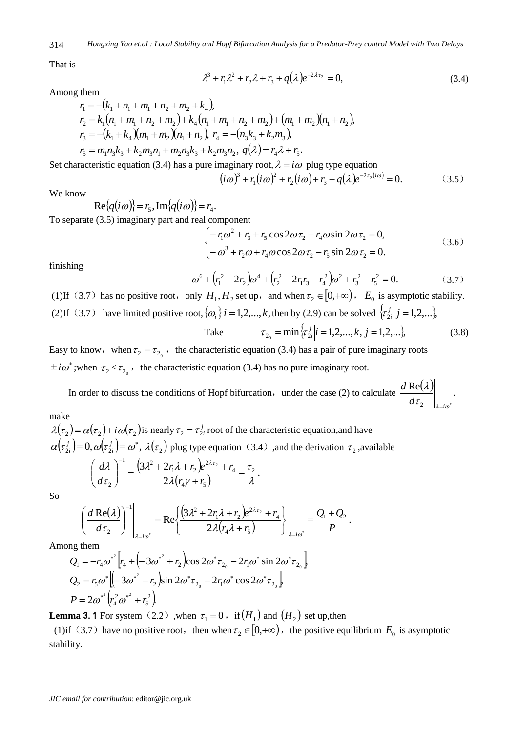*Hongxing Yao et.al : Local Stability and Hopf Bifurcation Analysis for a Predator-Prey control Model with Two Delays* 314

That is

$$
\lambda^3 + r_1 \lambda^2 + r_2 \lambda + r_3 + q(\lambda)e^{-2\lambda \tau_2} = 0, \tag{3.4}
$$

Among them

$$
r_1 = -(k_1 + n_1 + m_1 + n_2 + m_2 + k_4),
$$
  
\n
$$
r_2 = k_1(n_1 + m_1 + n_2 + m_2) + k_4(n_1 + m_1 + n_2 + m_2) + (m_1 + m_2)(n_1 + n_2),
$$
  
\n
$$
r_3 = -(k_1 + k_4)(m_1 + m_2)(n_1 + n_2), r_4 = -(n_3k_3 + k_2m_3),
$$
  
\n
$$
r_5 = m_1n_3k_3 + k_2m_3n_1 + m_2n_3k_3 + k_2m_3n_2, q(\lambda) = r_4\lambda + r_5.
$$

Set characteristic equation (3.4) has a pure imaginary root,  $\lambda = i\omega$  plug type equation

$$
(i\omega)^3 + r_1(i\omega)^2 + r_2(i\omega) + r_3 + q(\lambda)e^{-2r_2(i\omega)} = 0.
$$
 (3.5)

We know

$$
\mathrm{Re}\{q(i\omega)\}=r_5,\mathrm{Im}\{q(i\omega)\}=r_4.
$$

To separate (3.5) imaginary part and real component

1 component  
\n
$$
\begin{cases}\n-r_1\omega^2 + r_3 + r_5\cos 2\omega \tau_2 + r_4\omega \sin 2\omega \tau_2 = 0, \\
-\omega^3 + r_2\omega + r_4\omega \cos 2\omega \tau_2 - r_5\sin 2\omega \tau_2 = 0.\n\end{cases}
$$
\n(3.6)

finishing

$$
\omega^6 + (r_1^2 - 2r_2)\omega^4 + (r_2^2 - 2r_1r_3 - r_4^2)\omega^2 + r_3^2 - r_5^2 = 0.
$$
 (3.7)

(1)If (3.7) has no positive root, only  $H_1, H_2$  set up, and when  $\tau_2 \in [0, +\infty)$ ,  $E_0$  is asymptotic stability. (2)If (3.7) have limited positive root,  $\{\omega_i\}$  *i* = 1,2,..., *k*, then by (2.9) can be solved  $\{\tau_{2i}^j | j = 1,2,...\}$ ,  $\mathfrak{r}_{2i}$ 

Take 
$$
\tau_{2_0} = \min \{\tau_{2i}^j | i = 1, 2, ..., k, j = 1, 2, ...\},
$$
 (3.8)

Easy to know, when  $\tau_2 = \tau_{2_0}$ , the characteristic equation (3.4) has a pair of pure imaginary roots  $\pm i\omega^*$ ; when  $\tau_2 < \tau_{2_0}$ , the characteristic equation (3.4) has no pure imaginary root.

In order to discuss the conditions of Hopf bifurcation, under the case (2) to calculate  $\frac{d \text{Re}(\lambda)}{d \lambda}$ .  $\tau_2$   $\vert_{\lambda = i\omega^*}$ λ  $d\tau$ <sub>2</sub>  $\Big|_{\lambda=i}$ *d*

#### make

 $\lambda(\tau_2) = \alpha(\tau_2) + i \omega(\tau_2)$  is nearly  $\tau_2 = \tau_2^j$  $\tau_2 = \tau_{2i}^j$  root of the characteristic equation, and have  $(\tau_{2i}^j)=0, \omega(\tau_{2i}^j)=\omega^*,$  $\alpha(\tau_{2i}^j)=0, \omega(\tau_{2i}^j)=\omega^*$ *i j*  $\mathcal{L}_i$  = 0,  $\omega(\tau_{2i}) = \omega^*$ ,  $\lambda(\tau_2)$  plug type equation (3.4) ,and the derivation  $\tau_2$ , available  $(3\lambda^2+2r_1\lambda+r_2)$  $(r_4\gamma+r_5)$ . 2  $3\lambda^2 + 2r_1\lambda + r_2\,e^{2\lambda\tau_2} + r_4\,\overline{\phantom{x}}_2$  $41'$   $1'$  5 4 2  $1^{\prime}$   $1^{\prime}$   $1^{\prime}$   $2^{\prime}$  $1 \int_2^1$ 2 2 λ τ  $\lambda(r_{4}\gamma$  $\lambda^2+2r\lambda$ τ  $\lambda$ )  $(3\lambda^2 + 2r\lambda + r_2)e^{2\lambda\tau}$  $\overline{a}$  $^{+}$  $\int \frac{3\lambda^2 + 2r_1\lambda + r_2 e^{2\lambda r_2} + 3r_1\lambda + r_2 e^{2\lambda r_2}}{2\lambda (r_1\lambda + r_1)}$ J  $\setminus$  $\overline{\phantom{a}}$  $\setminus$  $\left(\right. d\lambda\left.\right)^{-}$  $r_4\gamma + r_2$  $r_1\lambda + r_2\big)e^{2\lambda\tau_2} + r_1$ *d d*

So

$$
\left.\left(\frac{d\operatorname{Re}(\lambda)}{d\tau_2}\right)^{-1}\right|_{\lambda=i\omega^*}=\operatorname{Re}\left\{\frac{\left(3\lambda^2+2r_1\lambda+r_2\right)e^{2\lambda\tau_2}+r_4}{2\lambda(r_4\lambda+r_5)}\right\}\bigg|_{\lambda=i\omega^*}=\frac{Q_1+Q_2}{P}.
$$

Among them

$$
Q_1 = -r_4 \omega^{*^2} \Big[ r_4 + \Big( -3\omega^{*^2} + r_2 \Big) \cos 2\omega^* \tau_{2_0} - 2r_1 \omega^* \sin 2\omega^* \tau_{2_0} \Big]
$$
  
\n
$$
Q_2 = r_5 \omega^* \Big[ \Big( -3\omega^{*^2} + r_2 \Big) \sin 2\omega^* \tau_{2_0} + 2r_1 \omega^* \cos 2\omega^* \tau_{2_0} \Big]
$$
  
\n
$$
P = 2\omega^{*^2} \Big( r_4^2 \omega^{*^2} + r_5^2 \Big)
$$

**Lemma 3.** 1 For system  $(2.2)$ , when  $\tau_1 = 0$ , if  $(H_1)$  and  $(H_2)$  set up, then

(1) if (3.7) have no positive root, then when  $\tau_2 \in [0, +\infty)$ , the positive equilibrium  $E_0$  is asymptotic stability.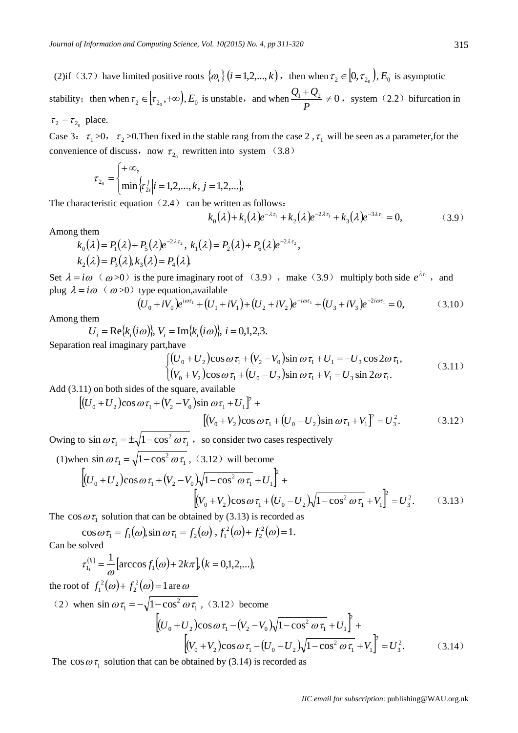(2)if (3.7) have limited positive roots  $\{\omega_i\}$  ( $i = 1,2,..., k$ ), then when  $\tau_2 \in [0, \tau_{2_0})$ ,  $E_0$  is asymptotic stability; then when  $\tau_2 \in [\tau_{2_0}, +\infty)$ ,  $E_0$  is unstable, and when *P*  $\frac{Q_1 + Q_2}{R_1} \neq 0$ , system (2.2) bifurcation in  $\tau_2 = \tau_{2_0}$  place.

Case 3:  $\tau_1 > 0$ ,  $\tau_2 > 0$ . Then fixed in the stable rang from the case 2,  $\tau_1$  will be seen as a parameter, for the convenience of discuss, now  $\tau_{2}$  rewritten into system (3.8)

$$
\tau_{2_0} = \begin{cases} +\infty, \\ \min\left\{ \tau_{2i}^j \middle| i=1,2,\ldots,k, j=1,2,\ldots \right\}, \end{cases}
$$

The characteristic equation  $(2.4)$  can be written as follows:

$$
k_0(\lambda) + k_1(\lambda)e^{-\lambda \tau_1} + k_2(\lambda)e^{-2\lambda \tau_1} + k_3(\lambda)e^{-3\lambda \tau_1} = 0,
$$
 (3.9)

Among them

$$
k_0(\lambda) = P_1(\lambda) + P_5(\lambda)e^{-2\lambda\tau_2}, k_1(\lambda) = P_2(\lambda) + P_6(\lambda)e^{-2\lambda\tau_2},
$$
  

$$
k_2(\lambda) = P_3(\lambda), k_3(\lambda) = P_4(\lambda).
$$

Set  $\lambda = i\omega$  ( $\omega > 0$ ) is the pure imaginary root of (3.9), make (3.9) multiply both side  $e^{\lambda \tau_1}$ , and plug  $\lambda = i\omega$  ( $\omega > 0$ ) type equation, available

$$
(U_0 + iV_0)e^{i\omega \tau_1} + (U_1 + iV_1) + (U_2 + iV_2)e^{-i\omega \tau_1} + (U_3 + iV_3)e^{-2i\omega \tau_1} = 0,
$$
 (3.10)

Among them

 $U_i = \text{Re}\{k_i(i\omega)\}, V_i = \text{Im}\{k_i(i\omega)\}, i = 0,1,2,3.$ 

Separation real imaginary part,have

$$
V_i = Im\{k_i(i\omega)\}, \quad i = 0, 1, 2, 3.
$$
\n
$$
t, \text{have}
$$
\n
$$
\begin{cases}\n(U_0 + U_2)\cos\omega\tau_1 + (V_2 - V_0)\sin\omega\tau_1 + U_1 = -U_3\cos 2\omega\tau_1, \\
(V_0 + V_2)\cos\omega\tau_1 + (U_0 - U_2)\sin\omega\tau_1 + V_1 = U_3\sin 2\omega\tau_1.\n\end{cases} (3.11)
$$

Add (3.11) on both sides of the square, available

$$
[(U_0 + U_2)\cos\omega\tau_1 + (V_2 - V_0)\sin\omega\tau_1 + U_1]^2 + [(V_0 + V_2)\cos\omega\tau_1 + (U_0 - U_2)\sin\omega\tau_1 + V_1]^2 = U_3^2.
$$
 (3.12)

Owing to  $\sin \omega \tau_1 = \pm \sqrt{1 - \cos^2 \omega \tau_1}$ 2  $\sin \omega \tau_1 = \pm \sqrt{1-\cos^2 \omega \tau_1}$ , so consider two cases respectively

(1) when  $\sin \omega \tau_1 = \sqrt{1 - \cos^2 \omega \tau_1}$ 2

(1) when 
$$
\sin \omega \tau_1 = \sqrt{1 - \cos^2 \omega \tau_1}
$$
, (3.12) will become  
\n
$$
\left[ (U_0 + U_2) \cos \omega \tau_1 + (V_2 - V_0) \sqrt{1 - \cos^2 \omega \tau_1} + U_1 \right]^2 +
$$
\n
$$
\left[ (V_0 + V_2) \cos \omega \tau_1 + (U_0 - U_2) \sqrt{1 - \cos^2 \omega \tau_1} + V_1 \right]^2 = U_3^2.
$$
\n(3.13)

The  $\cos \omega \tau_1$  solution that can be obtained by (3.13) is recorded as

 $\cos \omega \tau_1 = f_1(\omega) \sin \omega \tau_1 = f_2(\omega)$ ,  $f_1^2(\omega) + f_2^2(\omega) = 1$ . 2  $f_1^2(\omega) + f_2^2(\omega) =$ Can be solved

$$
\tau_{1_1}^{(k)} = \frac{1}{\omega} \Big[ \arccos f_1(\omega) + 2k\pi \Big], (k = 0, 1, 2, \ldots),
$$

the root of  $f_1^2(\omega) + f_2^2(\omega) = 1$ 2  $f_1^2(\omega) + f_2^2(\omega) = 1$  are  $\omega$ 

(2) when 
$$
\sin \omega \tau_1 = -\sqrt{1 - \cos^2 \omega \tau_1}
$$
, (3.12) become  
\n
$$
\left[ (U_0 + U_2) \cos \omega \tau_1 - (V_2 - V_0) \sqrt{1 - \cos^2 \omega \tau_1} + U_1 \right]^2 +
$$
\n
$$
\left[ (V_0 + V_2) \cos \omega \tau_1 - (U_0 - U_2) \sqrt{1 - \cos^2 \omega \tau_1} + V_1 \right]^2 = U_3^2.
$$
\n(3.14)

The  $\cos \omega \tau_1$  solution that can be obtained by (3.14) is recorded as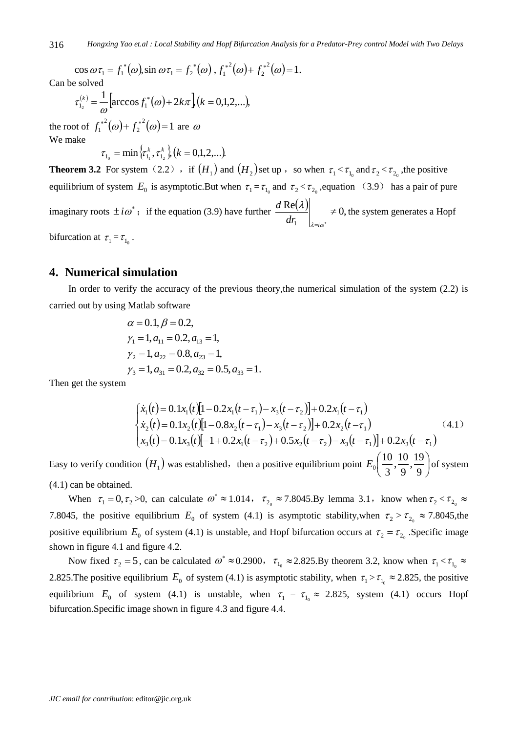$\cos \omega \tau_1 = f_1^*(\omega)$ ,  $\sin \omega \tau_1 = f_2^*(\omega)$ ,  $f_1^{*^2}(\omega) + f_2^{*^2}(\omega) = 1$ . 2  $f_1^{*^2}(\omega) + f_2^{*^2}(\omega) =$ 

Can be solved

$$
\tau_{1_2}^{(k)} = \frac{1}{\omega} \Big[ \arccos f_1^*(\omega) + 2k\pi \Big] (k = 0, 1, 2, \ldots),
$$

the root of  $f_1^{*2}(\omega) + f_2^{*2}(\omega) = 1$ 2  $f_1^{*2}(\omega) + f_2^{*2}(\omega) = 1$  are  $\omega$ We make

$$
\tau_{_{1_0}}=\min\, \langle\tau^{\,\kappa}_{_{1_1}}, \tau^{\,\kappa}_{_{1_2}}\,\rangle, (k=0,1,2,...).
$$

**Theorem 3.2** For system (2.2), if  $(H_1)$  and  $(H_2)$  set up, so when  $\tau_1 < \tau_{1_0}$  and  $\tau_2 < \tau_{2_0}$ , the positive equilibrium of system  $E_0$  is asymptotic.But when  $\tau_1 = \tau_{1_0}$  and  $\tau_2 < \tau_{2_0}$ , equation (3.9) has a pair of pure imaginary roots  $\pm i\omega^*$ ; if the equation (3.9) have further  $\frac{d \text{Re}(\lambda)}{d \lambda}$   $\neq 0$ , 1  $\neq$  $\lambda = i\omega^*$ λ  $dr_1$   $\Big|_{\lambda=i}$  $\frac{d \text{Re}(\lambda)}{d \lambda}$   $\neq 0$ , the system generates a Hopf bifurcation at  $\tau_1 = \tau_{1_0}$ .

**4. Numerical simulation**

In order to verify the accuracy of the previous theory,the numerical simulation of the system (2.2) is carried out by using Matlab software

$$
\alpha = 0.1, \beta = 0.2,
$$
  
\n
$$
\gamma_1 = 1, a_{11} = 0.2, a_{13} = 1,
$$
  
\n
$$
\gamma_2 = 1, a_{22} = 0.8, a_{23} = 1,
$$
  
\n
$$
\gamma_3 = 1, a_{31} = 0.2, a_{32} = 0.5, a_{33} = 1.
$$

Then get the system

$$
\begin{cases}\n\dot{x}_1(t) = 0.1x_1(t)[1 - 0.2x_1(t - \tau_1) - x_3(t - \tau_2)] + 0.2x_1(t - \tau_1) \\
\dot{x}_2(t) = 0.1x_2(t)[1 - 0.8x_2(t - \tau_1) - x_3(t - \tau_2)] + 0.2x_2(t - \tau_1) \\
x_3(t) = 0.1x_3(t)[-1 + 0.2x_1(t - \tau_2) + 0.5x_2(t - \tau_2) - x_3(t - \tau_1)] + 0.2x_3(t - \tau_1)\n\end{cases} (4.1)
$$

Easy to verify condition  $(H_1)$  was established, then a positive equilibrium point  $E_0\left[\frac{10}{2},\frac{10}{0},\frac{15}{0}\right]$  $\bigg)$  $\left(\frac{10}{2}, \frac{10}{2}, \frac{19}{2}\right)$  $\setminus$ ſ 9  $\frac{19}{2}$ 9  $\frac{10}{2}$  $E_0\left(\frac{10}{3}, \frac{10}{9}, \frac{19}{9}\right)$  of system (4.1) can be obtained.

When  $\tau_1 = 0, \tau_2 > 0$ , can calculate  $\omega^* \approx 1.014$ ,  $\tau_{20} \approx 7.8045$ . By lemma 3.1, know when  $\tau_2 < \tau_{20} \approx$ 7.8045, the positive equilibrium  $E_0$  of system (4.1) is asymptotic stability, when  $\tau_2 > \tau_{20} \approx 7.8045$ , the positive equilibrium  $E_0$  of system (4.1) is unstable, and Hopf bifurcation occurs at  $\tau_2 = \tau_{2_0}$ . Specific image shown in figure 4.1 and figure 4.2.

Now fixed  $\tau_2 = 5$ , can be calculated  $\omega^* \approx 0.2900$ ,  $\tau_{1_0} \approx 2.825$ . By theorem 3.2, know when  $\tau_1 < \tau_{1_0} \approx$ 2.825. The positive equilibrium  $E_0$  of system (4.1) is asymptotic stability, when  $\tau_1 > \tau_{1_0} \approx 2.825$ , the positive equilibrium  $E_0$  of system (4.1) is unstable, when  $\tau_1 = \tau_{1_0} \approx 2.825$ , system (4.1) occurs Hopf bifurcation.Specific image shown in figure 4.3 and figure 4.4.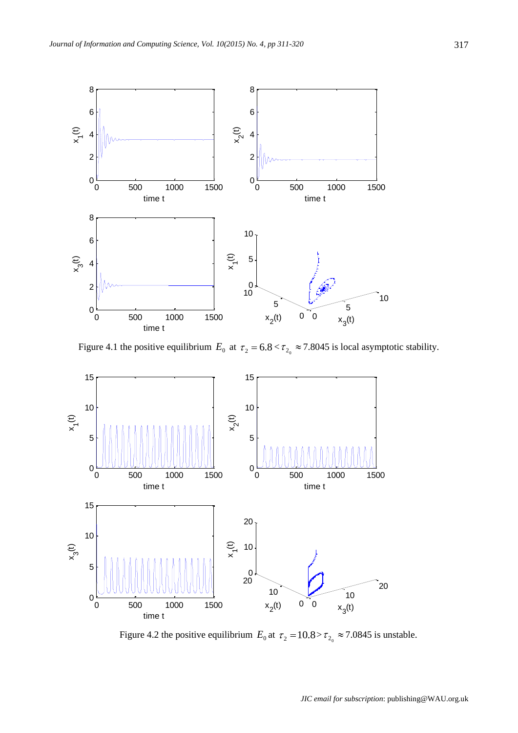

Figure 4.1 the positive equilibrium  $E_0$  at  $\tau_2 = 6.8 < \tau_{2_0} \approx 7.8045$  is local asymptotic stability.



Figure 4.2 the positive equilibrium  $E_0$  at  $\tau_2 = 10.8 > \tau_{20} \approx 7.0845$  is unstable.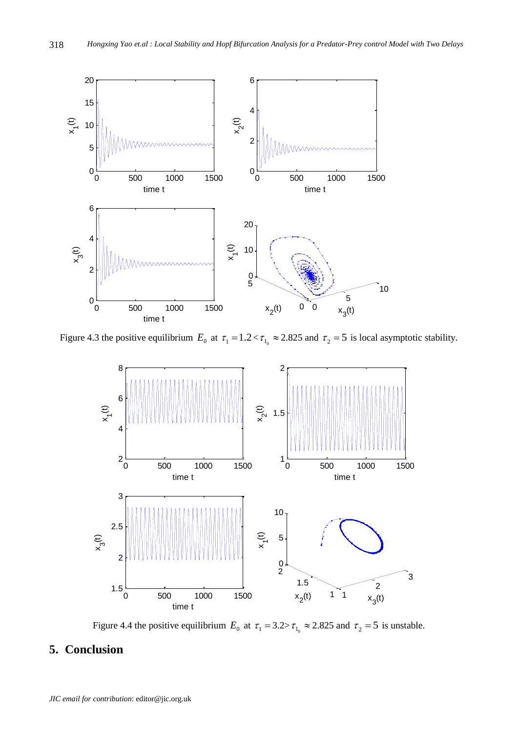

Figure 4.3 the positive equilibrium  $E_0$  at  $\tau_1 = 1.2 < \tau_{10} \approx 2.825$  and  $\tau_2 = 5$  is local asymptotic stability.



Figure 4.4 the positive equilibrium  $E_0$  at  $\tau_1 = 3.2 > \tau_{1_0} \approx 2.825$  and  $\tau_2 = 5$  is unstable.

## **5. Conclusion**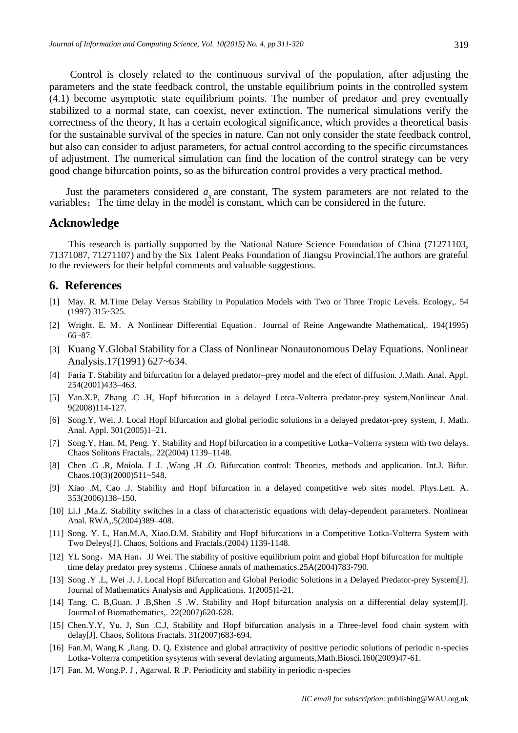Control is closely related to the continuous survival of the population, after adjusting the parameters and the state feedback control, the unstable equilibrium points in the controlled system (4.1) become asymptotic state equilibrium points. The number of predator and prey eventually stabilized to a normal state, can coexist, never extinction. The numerical simulations verify the correctness of the theory, It has a certain ecological significance, which provides a theoretical basis for the sustainable survival of the species in nature. Can not only consider the state feedback control, but also can consider to adjust parameters, for actual control according to the specific circumstances of adjustment. The numerical simulation can find the location of the control strategy can be very good change bifurcation points, so as the bifurcation control provides a very practical method.

Just the parameters considered  $a_{ij}$  are constant, The system parameters are not related to the variables; The time delay in the model is constant, which can be considered in the future.

#### **Acknowledge**

This research is partially supported by the National Nature Science Foundation of China (71271103, 71371087, 71271107) and by the Six Talent Peaks Foundation of Jiangsu Provincial.The authors are grateful to the reviewers for their helpful comments and valuable suggestions.

#### **6. References**

- [1] May. R. M.Time Delay Versus Stability in Population Models with Two or Three Tropic Levels. Ecology,. 54 (1997) 315~325.
- [2] Wright. E. M.A Nonlinear Differential Equation.Journal of Reine Angewandte Mathematical,. 194(1995) 66~87.
- [3] Kuang Y.Global Stability for a Class of Nonlinear Nonautonomous Delay Equations. Nonlinear Analysis.17(1991) 627~634.
- [4] Faria T. Stability and bifurcation for a delayed predator–prey model and the efect of diffusion. J.Math. Anal. Appl. 254(2001)433–463.
- [5] Yan.X.P, Zhang .C .H, Hopf bifurcation in a delayed Lotca-Volterra predator-prey system,Nonlinear Anal. 9(2008)114-127.
- [6] Song.Y, Wei. J. Local Hopf bifurcation and global periodic solutions in a delayed predator-prey system, J. Math. Anal. Appl. 301(2005)1–21.
- [7] Song.Y, Han. M, Peng. Y. Stability and Hopf bifurcation in a competitive Lotka–Volterra system with two delays. Chaos Solitons Fractals,. 22(2004) 1139–1148.
- [8] Chen .G .R, Moiola. J .L ,Wang .H .O. Bifurcation control: Theories, methods and application. Int.J. Bifur. Chaos. $10(3)(2000)511~548$ .
- [9] Xiao .M, Cao .J. Stability and Hopf bifurcation in a delayed competitive web sites model. Phys.Lett. A. 353(2006)138–150.
- [10] Li.J ,Ma.Z. Stability switches in a class of characteristic equations with delay-dependent parameters. Nonlinear Anal. RWA,.5(2004)389–408.
- [11] Song. Y. L, Han.M.A, Xiao.D.M. Stability and Hopf bifurcations in a Competitive Lotka-Volterra System with Two Deleys[J]. Chaos, Soltions and Fractals.(2004) 1139-1148.
- [12] YL Song, MA Han, JJ Wei. The stability of positive equilibrium point and global Hopf bifurcation for multiple time delay predator prey systems . Chinese annals of mathematics.25A(2004)783-790.
- [13] Song .Y .L, Wei .J. J. Local Hopf Bifurcation and Global Periodic Solutions in a Delayed Predator-prey System[J]. Journal of Mathematics Analysis and Applications. 1(2005)1-21.
- [14] Tang. C. B,Guan. J .B,Shen .S .W. Stability and Hopf bifurcation analysis on a differential delay system[J]. Jourmal of Biomathematics,. 22(2007)620-628.
- [15] Chen.Y.Y, Yu. J, Sun .C.J, Stability and Hopf bifurcation analysis in a Three-level food chain system with delay[J]. Chaos, Solitons Fractals. 31(2007)683-694.
- [16] Fan.M, Wang.K ,Jiang. D. Q. Existence and global attractivity of positive periodic solutions of periodic n-species Lotka-Volterra competition sysytems with several deviating arguments,Math.Biosci.160(2009)47-61.
- [17] Fan. M, Wong.P. J , Agarwal. R .P. Periodicity and stability in periodic n-species